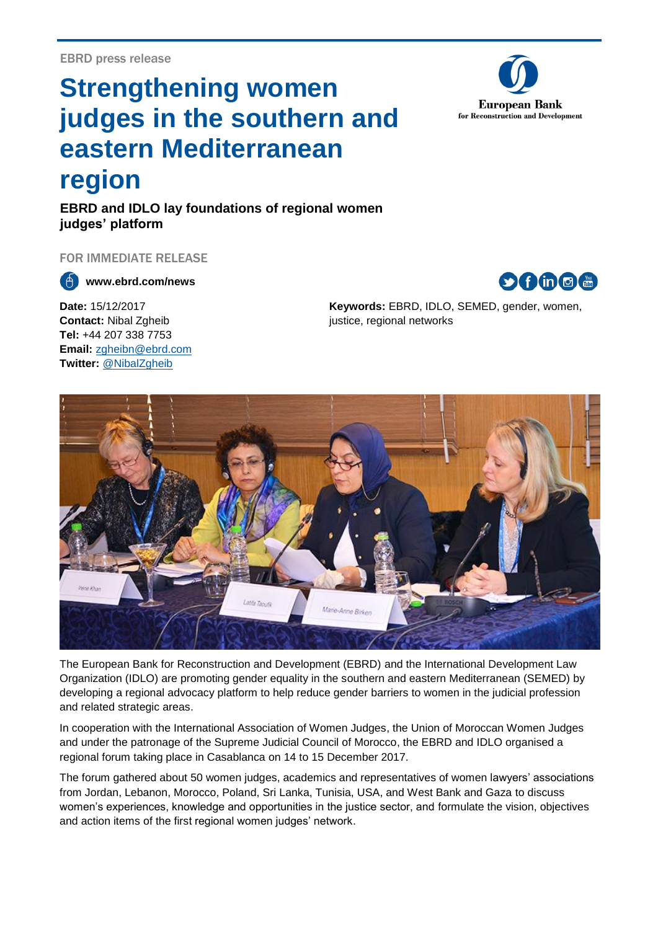## **Strengthening women judges in the southern and eastern Mediterranean region**

**EBRD and IDLO lay foundations of regional women judges' platform**

FOR IMMEDIATE RELEASE

**www.ebrd.com/news**

**Date:** 15/12/2017 **Contact:** Nibal Zgheib **Tel:** +44 207 338 7753 **Email:** [zgheibn@ebrd.com](mailto:zgheibn@ebrd.com) **Twitter:** [@NibalZgheib](https://twitter.com/NibalZgheib?lang=en)

## **Keywords:** EBRD, IDLO, SEMED, gender, women, justice, regional networks

Latifa Tarvin Marie-Anne Birken The European Bank for Reconstruction and Development (EBRD) and the International Development Law Organization (IDLO) are promoting gender equality in the southern and eastern Mediterranean (SEMED) by developing a regional advocacy platform to help reduce gender barriers to women in the judicial profession

and related strategic areas. In cooperation with the International Association of Women Judges, the Union of Moroccan Women Judges and under the patronage of the Supreme Judicial Council of Morocco, the EBRD and IDLO organised a

regional forum taking place in Casablanca on 14 to 15 December 2017.

The forum gathered about 50 women judges, academics and representatives of women lawyers' associations from Jordan, Lebanon, Morocco, Poland, Sri Lanka, Tunisia, USA, and West Bank and Gaza to discuss women's experiences, knowledge and opportunities in the justice sector, and formulate the vision, objectives and action items of the first regional women judges' network.

 $\mathbf{D}$  f in  $\mathbf{O}$   $\mathbf{E}$